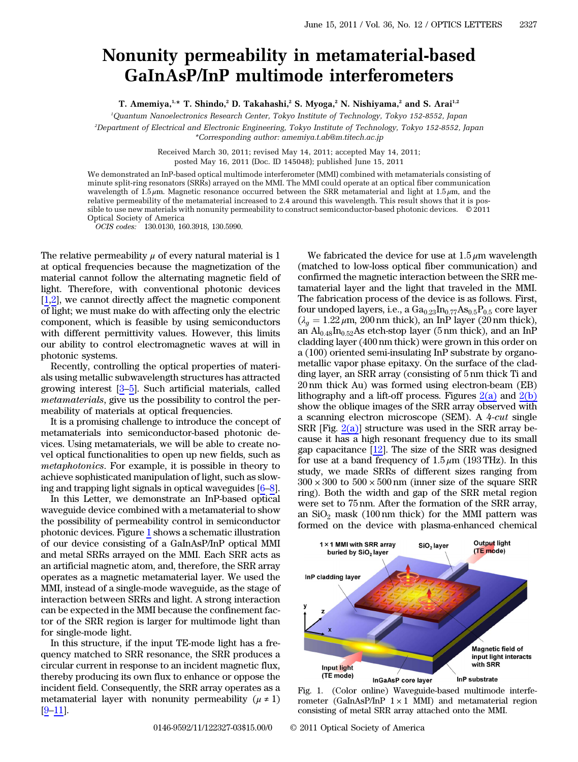## Nonunity permeability in metamaterial-based GaInAsP/InP multimode interferometers

T. Amemiya,<sup>1,\*</sup> T. Shindo,<sup>2</sup> D. Takahashi,<sup>2</sup> S. Myoga,<sup>2</sup> N. Nishiyama,<sup>2</sup> and S. Arai<sup>1,2</sup>

1 Quantum Nanoelectronics Research Center, Tokyo Institute of Technology, Tokyo 152-8552, Japan

2 Department of Electrical and Electronic Engineering, Tokyo Institute of Technology, Tokyo 152-8552, Japan \*Corresponding author: amemiya.t.ab@m.titech.ac.jp

> Received March 30, 2011; revised May 14, 2011; accepted May 14, 2011; posted May 16, 2011 (Doc. ID 145048); published June 15, 2011

We demonstrated an InP-based optical multimode interferometer (MMI) combined with metamaterials consisting of minute split-ring resonators (SRRs) arrayed on the MMI. The MMI could operate at an optical fiber communication wavelength of  $1.5 \mu$ m. Magnetic resonance occurred between the SRR metamaterial and light at  $1.5 \mu$ m, and the relative permeability of the metamaterial increased to 2.4 around this wavelength. This result shows that it is possible to use new materials with nonunity permeability to construct semiconductor-based photonic devices. © 2011 Optical Society of America

OCIS codes: 130.0130, 160.3918, 130.5990.

The relative permeability  $\mu$  of every natural material is 1 at optical frequencies because the magnetization of the material cannot follow the alternating magnetic field of light. Therefore, with conventional photonic devices [1,2], we cannot directly affect the magnetic component of light; we must make do with affecting only the electric component, which is feasible by using semiconductors with different permittivity values. However, this limits our ability to control electromagnetic waves at will in photonic systems.

Recently, controlling the optical properties of materials using metallic subwavelength structures has attracted growing interest [3–5]. Such artificial materials, called metamaterials, give us the possibility to control the permeability of materials at optical frequencies.

It is a promising challenge to introduce the concept of metamaterials into semiconductor-based photonic devices. Using metamaterials, we will be able to create novel optical functionalities to open up new fields, such as metaphotonics. For example, it is possible in theory to achieve sophisticated manipulation of light, such as slowing and trapping light signals in optical waveguides [6–8].

In this Letter, we demonstrate an InP-based optical waveguide device combined with a metamaterial to show the possibility of permeability control in semiconductor photonic devices. Figure [1](#page-0-0) shows a schematic illustration of our device consisting of a GaInAsP/InP optical MMI and metal SRRs arrayed on the MMI. Each SRR acts as an artificial magnetic atom, and, therefore, the SRR array operates as a magnetic metamaterial layer. We used the MMI, instead of a single-mode waveguide, as the stage of interaction between SRRs and light. A strong interaction can be expected in the MMI because the confinement factor of the SRR region is larger for multimode light than for single-mode light.

In this structure, if the input TE-mode light has a frequency matched to SRR resonance, the SRR produces a circular current in response to an incident magnetic flux, thereby producing its own flux to enhance or oppose the incident field. Consequently, the SRR array operates as a metamaterial layer with nonunity permeability  $(\mu \neq 1)$ [9–11].

We fabricated the device for use at  $1.5 \mu m$  wavelength (matched to low-loss optical fiber communication) and confirmed the magnetic interaction between the SRR metamaterial layer and the light that traveled in the MMI. The fabrication process of the device is as follows. First, four undoped layers, i.e., a  $Ga_{0.23}In_{0.77}As_{0.5}P_{0.5}$  core layer  $(\lambda_g = 1.22 \,\mu\text{m}, 200 \,\text{nm}$  thick), an InP layer (20 nm thick), an  $\text{Al}_{0.48}\text{In}_{0.52}\text{As}$  etch-stop layer (5 nm thick), and an InP cladding layer (400 nm thick) were grown in this order on a (100) oriented semi-insulating InP substrate by organometallic vapor phase epitaxy. On the surface of the cladding layer, an SRR array (consisting of 5 nm thick Ti and 20 nm thick Au) was formed using electron-beam (EB) lithography and a lift-off process. Figures  $2(a)$  and  $2(b)$ show the oblique images of the SRR array observed with a scanning electron microscope (SEM). A 4-cut single SRR [Fig.  $2(a)$ ] structure was used in the SRR array because it has a high resonant frequency due to its small gap capacitance  $[12]$ . The size of the SRR was designed for use at a band frequency of  $1.5 \mu m$  (193 THz). In this study, we made SRRs of different sizes ranging from  $300 \times 300$  to  $500 \times 500$  nm (inner size of the square SRR ring). Both the width and gap of the SRR metal region were set to 75 nm. After the formation of the SRR array, an  $SiO<sub>2</sub>$  mask (100 nm thick) for the MMI pattern was formed on the device with plasma-enhanced chemical

<span id="page-0-0"></span>

Fig. 1. (Color online) Waveguide-based multimode interferometer (GaInAsP/InP  $1 \times 1$  MMI) and metamaterial region consisting of metal SRR array attached onto the MMI.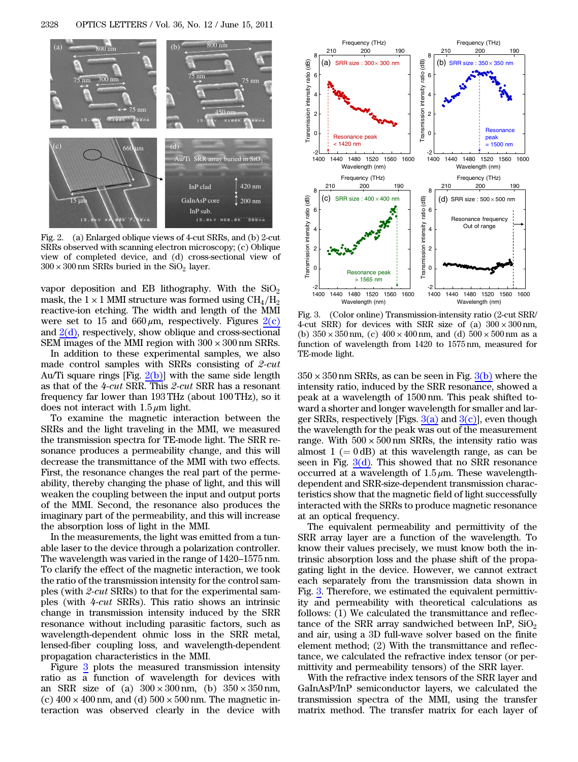

<span id="page-1-0"></span>Fig. 2. (a) Enlarged oblique views of 4-cut SRRs, and (b) 2-cut SRRs observed with scanning electron microscopy; (c) Oblique view of completed device, and (d) cross-sectional view of  $300 \times 300$  nm SRRs buried in the SiO<sub>2</sub> layer.

vapor deposition and EB lithography. With the  $SiO<sub>2</sub>$ mask, the  $1 \times 1$  MMI structure was formed using CH<sub>4</sub>/H<sub>2</sub> reactive-ion etching. The width and length of the MMI were set to 15 and 660  $\mu$ m, respectively. Figures [2\(c\)](#page-1-0) and  $2(d)$ , respectively, show oblique and cross-sectional SEM images of the MMI region with  $300 \times 300$  nm SRRs.

In addition to these experimental samples, we also made control samples with SRRs consisting of  $2-cut$ Au/Ti square rings [Fig.  $2(b)$ ] with the same side length as that of the 4-cut SRR. This 2-cut SRR has a resonant frequency far lower than 193 THz (about 100 THz), so it does not interact with  $1.5 \mu m$  light.

To examine the magnetic interaction between the SRRs and the light traveling in the MMI, we measured the transmission spectra for TE-mode light. The SRR resonance produces a permeability change, and this will decrease the transmittance of the MMI with two effects. First, the resonance changes the real part of the permeability, thereby changing the phase of light, and this will weaken the coupling between the input and output ports of the MMI. Second, the resonance also produces the imaginary part of the permeability, and this will increase the absorption loss of light in the MMI.

In the measurements, the light was emitted from a tunable laser to the device through a polarization controller. The wavelength was varied in the range of <sup>1420</sup>–<sup>1575</sup> nm. To clarify the effect of the magnetic interaction, we took the ratio of the transmission intensity for the control samples (with 2-cut SRRs) to that for the experimental samples (with 4-cut SRRs). This ratio shows an intrinsic change in transmission intensity induced by the SRR resonance without including parasitic factors, such as wavelength-dependent ohmic loss in the SRR metal, lensed-fiber coupling loss, and wavelength-dependent propagation characteristics in the MMI.

Figure [3](#page-1-1) plots the measured transmission intensity ratio as a function of wavelength for devices with an SRR size of (a)  $300 \times 300$  nm, (b)  $350 \times 350$  nm, (c)  $400 \times 400$  nm, and (d)  $500 \times 500$  nm. The magnetic interaction was observed clearly in the device with

<span id="page-1-1"></span>

<span id="page-1-2"></span>Fig. 3. (Color online) Transmission-intensity ratio (2-cut SRR/ 4-cut SRR) for devices with SRR size of (a)  $300 \times 300$  nm, (b)  $350 \times 350$  nm, (c)  $400 \times 400$  nm, and (d)  $500 \times 500$  nm as a function of wavelength from 1420 to 1575 nm, measured for TE-mode light.

 $350 \times 350$  nm SRRs, as can be seen in Fig.  $3(b)$  where the intensity ratio, induced by the SRR resonance, showed a peak at a wavelength of 1500 nm. This peak shifted toward a shorter and longer wavelength for smaller and larger SRRs, respectively [Figs.  $3(a)$  and  $3(c)$ ], even though the wavelength for the peak was out of the measurement range. With  $500 \times 500$  nm SRRs, the intensity ratio was almost  $1 (= 0 dB)$  at this wavelength range, as can be seen in Fig.  $3(d)$ . This showed that no SRR resonance occurred at a wavelength of  $1.5 \mu$ m. These wavelengthdependent and SRR-size-dependent transmission characteristics show that the magnetic field of light successfully interacted with the SRRs to produce magnetic resonance at an optical frequency.

The equivalent permeability and permittivity of the SRR array layer are a function of the wavelength. To know their values precisely, we must know both the intrinsic absorption loss and the phase shift of the propagating light in the device. However, we cannot extract each separately from the transmission data shown in Fig. [3](#page-1-1). Therefore, we estimated the equivalent permittivity and permeability with theoretical calculations as follows: (1) We calculated the transmittance and reflectance of the SRR array sandwiched between InP,  $SiO<sub>2</sub>$ and air, using a 3D full-wave solver based on the finite element method; (2) With the transmittance and reflectance, we calculated the refractive index tensor (or permittivity and permeability tensors) of the SRR layer.

With the refractive index tensors of the SRR layer and GaInAsP/InP semiconductor layers, we calculated the transmission spectra of the MMI, using the transfer matrix method. The transfer matrix for each layer of